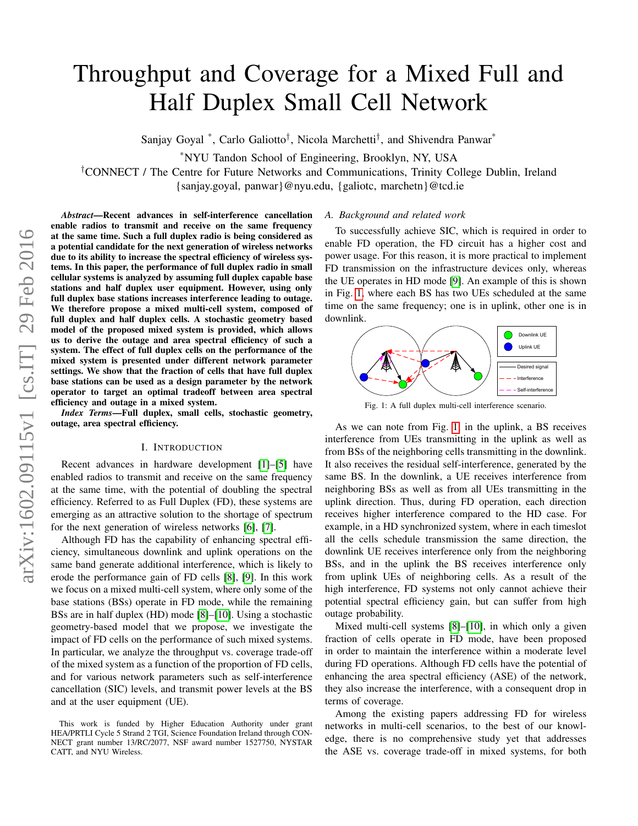# Throughput and Coverage for a Mixed Full and Half Duplex Small Cell Network

Sanjay Goyal<sup>\*</sup>, Carlo Galiotto<sup>†</sup>, Nicola Marchetti<sup>†</sup>, and Shivendra Panwar<sup>\*</sup>

\*NYU Tandon School of Engineering, Brooklyn, NY, USA

†CONNECT / The Centre for Future Networks and Communications, Trinity College Dublin, Ireland

{sanjay.goyal, panwar}@nyu.edu, {galiotc, marchetn}@tcd.ie

*Abstract*—Recent advances in self-interference cancellation enable radios to transmit and receive on the same frequency at the same time. Such a full duplex radio is being considered as a potential candidate for the next generation of wireless networks due to its ability to increase the spectral efficiency of wireless systems. In this paper, the performance of full duplex radio in small cellular systems is analyzed by assuming full duplex capable base stations and half duplex user equipment. However, using only full duplex base stations increases interference leading to outage. We therefore propose a mixed multi-cell system, composed of full duplex and half duplex cells. A stochastic geometry based model of the proposed mixed system is provided, which allows us to derive the outage and area spectral efficiency of such a system. The effect of full duplex cells on the performance of the mixed system is presented under different network parameter settings. We show that the fraction of cells that have full duplex base stations can be used as a design parameter by the network operator to target an optimal tradeoff between area spectral efficiency and outage in a mixed system.

*Index Terms*—Full duplex, small cells, stochastic geometry, outage, area spectral efficiency.

#### I. INTRODUCTION

Recent advances in hardware development [\[1\]](#page-6-0)–[\[5\]](#page-6-1) have enabled radios to transmit and receive on the same frequency at the same time, with the potential of doubling the spectral efficiency. Referred to as Full Duplex (FD), these systems are emerging as an attractive solution to the shortage of spectrum for the next generation of wireless networks [\[6\]](#page-6-2), [\[7\]](#page-6-3).

Although FD has the capability of enhancing spectral efficiency, simultaneous downlink and uplink operations on the same band generate additional interference, which is likely to erode the performance gain of FD cells [\[8\]](#page-6-4), [\[9\]](#page-6-5). In this work we focus on a mixed multi-cell system, where only some of the base stations (BSs) operate in FD mode, while the remaining BSs are in half duplex (HD) mode [\[8\]](#page-6-4)–[\[10\]](#page-6-6). Using a stochastic geometry-based model that we propose, we investigate the impact of FD cells on the performance of such mixed systems. In particular, we analyze the throughput vs. coverage trade-off of the mixed system as a function of the proportion of FD cells, and for various network parameters such as self-interference cancellation (SIC) levels, and transmit power levels at the BS and at the user equipment (UE).

# *A. Background and related work*

To successfully achieve SIC, which is required in order to enable FD operation, the FD circuit has a higher cost and power usage. For this reason, it is more practical to implement FD transmission on the infrastructure devices only, whereas the UE operates in HD mode [\[9\]](#page-6-5). An example of this is shown in Fig. [1,](#page-0-0) where each BS has two UEs scheduled at the same time on the same frequency; one is in uplink, other one is in downlink.

<span id="page-0-0"></span>

Fig. 1: A full duplex multi-cell interference scenario.

As we can note from Fig. [1,](#page-0-0) in the uplink, a BS receives interference from UEs transmitting in the uplink as well as from BSs of the neighboring cells transmitting in the downlink. It also receives the residual self-interference, generated by the same BS. In the downlink, a UE receives interference from neighboring BSs as well as from all UEs transmitting in the uplink direction. Thus, during FD operation, each direction receives higher interference compared to the HD case. For example, in a HD synchronized system, where in each timeslot all the cells schedule transmission the same direction, the downlink UE receives interference only from the neighboring BSs, and in the uplink the BS receives interference only from uplink UEs of neighboring cells. As a result of the high interference, FD systems not only cannot achieve their potential spectral efficiency gain, but can suffer from high outage probability.

Mixed multi-cell systems [\[8\]](#page-6-4)–[\[10\]](#page-6-6), in which only a given fraction of cells operate in FD mode, have been proposed in order to maintain the interference within a moderate level during FD operations. Although FD cells have the potential of enhancing the area spectral efficiency (ASE) of the network, they also increase the interference, with a consequent drop in terms of coverage.

Among the existing papers addressing FD for wireless networks in multi-cell scenarios, to the best of our knowledge, there is no comprehensive study yet that addresses the ASE vs. coverage trade-off in mixed systems, for both

This work is funded by Higher Education Authority under grant HEA/PRTLI Cycle 5 Strand 2 TGI, Science Foundation Ireland through CON-NECT grant number 13/RC/2077, NSF award number 1527750, NYSTAR CATT, and NYU Wireless.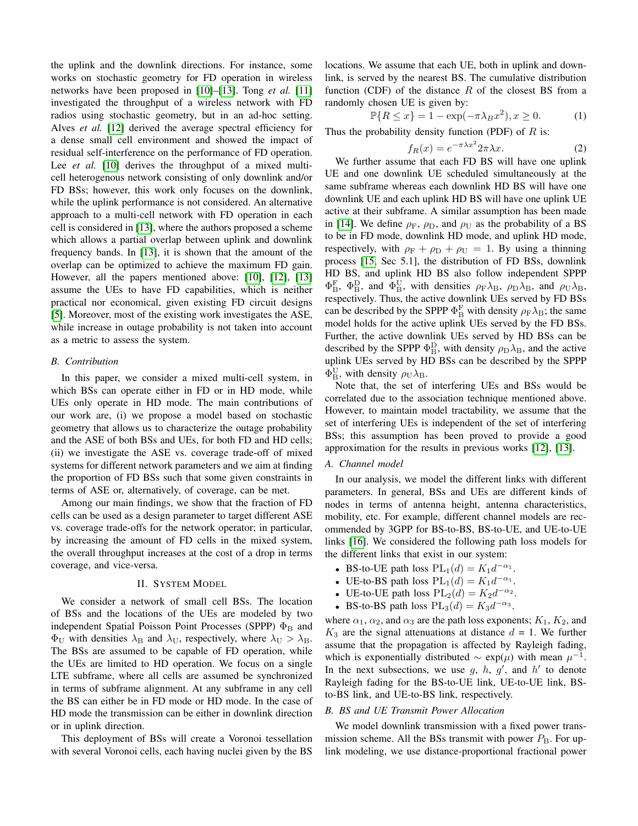the uplink and the downlink directions. For instance, some works on stochastic geometry for FD operation in wireless networks have been proposed in [\[10\]](#page-6-6)–[\[13\]](#page-6-7). Tong *et al.* [\[11\]](#page-6-8) investigated the throughput of a wireless network with FD radios using stochastic geometry, but in an ad-hoc setting. Alves *et al.* [\[12\]](#page-6-9) derived the average spectral efficiency for a dense small cell environment and showed the impact of residual self-interference on the performance of FD operation. Lee *et al.* [\[10\]](#page-6-6) derives the throughput of a mixed multicell heterogenous network consisting of only downlink and/or FD BSs; however, this work only focuses on the downlink, while the uplink performance is not considered. An alternative approach to a multi-cell network with FD operation in each cell is considered in [\[13\]](#page-6-7), where the authors proposed a scheme which allows a partial overlap between uplink and downlink frequency bands. In [\[13\]](#page-6-7), it is shown that the amount of the overlap can be optimized to achieve the maximum FD gain. However, all the papers mentioned above: [\[10\]](#page-6-6), [\[12\]](#page-6-9), [\[13\]](#page-6-7) assume the UEs to have FD capabilities, which is neither practical nor economical, given existing FD circuit designs [\[5\]](#page-6-1). Moreover, most of the existing work investigates the ASE, while increase in outage probability is not taken into account as a metric to assess the system.

# *B. Contribution*

In this paper, we consider a mixed multi-cell system, in which BSs can operate either in FD or in HD mode, while UEs only operate in HD mode. The main contributions of our work are, (i) we propose a model based on stochastic geometry that allows us to characterize the outage probability and the ASE of both BSs and UEs, for both FD and HD cells; (ii) we investigate the ASE vs. coverage trade-off of mixed systems for different network parameters and we aim at finding the proportion of FD BSs such that some given constraints in terms of ASE or, alternatively, of coverage, can be met.

Among our main findings, we show that the fraction of FD cells can be used as a design parameter to target different ASE vs. coverage trade-offs for the network operator; in particular, by increasing the amount of FD cells in the mixed system, the overall throughput increases at the cost of a drop in terms coverage, and vice-versa.

## II. SYSTEM MODEL

<span id="page-1-1"></span>We consider a network of small cell BSs. The location of BSs and the locations of the UEs are modeled by two independent Spatial Poisson Point Processes (SPPP)  $\Phi_B$  and  $\Phi_{\text{U}}$  with densities  $\lambda_{\text{B}}$  and  $\lambda_{\text{U}}$ , respectively, where  $\lambda_{\text{U}} > \lambda_{\text{B}}$ . The BSs are assumed to be capable of FD operation, while the UEs are limited to HD operation. We focus on a single LTE subframe, where all cells are assumed be synchronized in terms of subframe alignment. At any subframe in any cell the BS can either be in FD mode or HD mode. In the case of HD mode the transmission can be either in downlink direction or in uplink direction.

This deployment of BSs will create a Voronoi tessellation with several Voronoi cells, each having nuclei given by the BS locations. We assume that each UE, both in uplink and downlink, is served by the nearest BS. The cumulative distribution function (CDF) of the distance  $R$  of the closest BS from a randomly chosen UE is given by:

$$
\mathbb{P}\{R \le x\} = 1 - \exp(-\pi\lambda_B x^2), x \ge 0.
$$
 (1)

Thus the probability density function (PDF) of  $R$  is:

<span id="page-1-0"></span>
$$
f_R(x) = e^{-\pi \lambda x^2} 2\pi \lambda x.
$$
 (2)

We further assume that each FD BS will have one uplink UE and one downlink UE scheduled simultaneously at the same subframe whereas each downlink HD BS will have one downlink UE and each uplink HD BS will have one uplink UE active at their subframe. A similar assumption has been made in [\[14\]](#page-6-10). We define  $\rho_F$ ,  $\rho_D$ , and  $\rho_U$  as the probability of a BS to be in FD mode, downlink HD mode, and uplink HD mode, respectively, with  $\rho_F + \rho_D + \rho_U = 1$ . By using a thinning process [\[15,](#page-6-11) Sec 5.1], the distribution of FD BSs, downlink HD BS, and uplink HD BS also follow independent SPPP  $\Phi_{\rm B}^{\rm F}$ ,  $\Phi_{\rm B}^{\rm D}$ , and  $\Phi_{\rm B}^{\rm U}$ , with densities  $\rho_{\rm F} \lambda_{\rm B}$ ,  $\rho_{\rm D} \lambda_{\rm B}$ , and  $\rho_{\rm U} \lambda_{\rm B}$ , respectively. Thus, the active downlink UEs served by FD BSs can be described by the SPPP  $\Phi_{\rm B}^{\rm F}$  with density  $\rho_{\rm F} \lambda_{\rm B}$ ; the same model holds for the active uplink UEs served by the FD BSs. Further, the active downlink UEs served by HD BSs can be described by the SPPP  $\Phi_B^D$ , with density  $\rho_D \lambda_B$ , and the active uplink UEs served by HD BSs can be described by the SPPP  $\Phi_{\rm B}^{\rm U}$ , with density  $\rho_{\rm U}\lambda_{\rm B}$ .

Note that, the set of interfering UEs and BSs would be correlated due to the association technique mentioned above. However, to maintain model tractability, we assume that the set of interfering UEs is independent of the set of interfering BSs; this assumption has been proved to provide a good approximation for the results in previous works [\[12\]](#page-6-9), [\[13\]](#page-6-7).

# *A. Channel model*

In our analysis, we model the different links with different parameters. In general, BSs and UEs are different kinds of nodes in terms of antenna height, antenna characteristics, mobility, etc. For example, different channel models are recommended by 3GPP for BS-to-BS, BS-to-UE, and UE-to-UE links [\[16\]](#page-6-12). We considered the following path loss models for the different links that exist in our system:

- BS-to-UE path loss  $PL_1(d) = K_1 d^{-\alpha_1}$ .
- UE-to-BS path loss  $PL_1(d) = K_1 d^{-\alpha_1}$ .
- UE-to-UE path loss  $PL_2(d) = K_2 d^{-\alpha_2}$ .
- BS-to-BS path loss  $PL_3(d) = K_3d^{-\alpha_3}$ .

where  $\alpha_1$ ,  $\alpha_2$ , and  $\alpha_3$  are the path loss exponents;  $K_1$ ,  $K_2$ , and  $K_3$  are the signal attenuations at distance  $d = 1$ . We further assume that the propagation is affected by Rayleigh fading, which is exponentially distributed  $\sim \exp(\mu)$  with mean  $\mu^{-1}$ . In the next subsections, we use  $g, h, g'$ , and  $h'$  to denote Rayleigh fading for the BS-to-UE link, UE-to-UE link, BSto-BS link, and UE-to-BS link, respectively.

# *B. BS and UE Transmit Power Allocation*

We model downlink transmission with a fixed power transmission scheme. All the BSs transmit with power  $P_{\rm B}$ . For uplink modeling, we use distance-proportional fractional power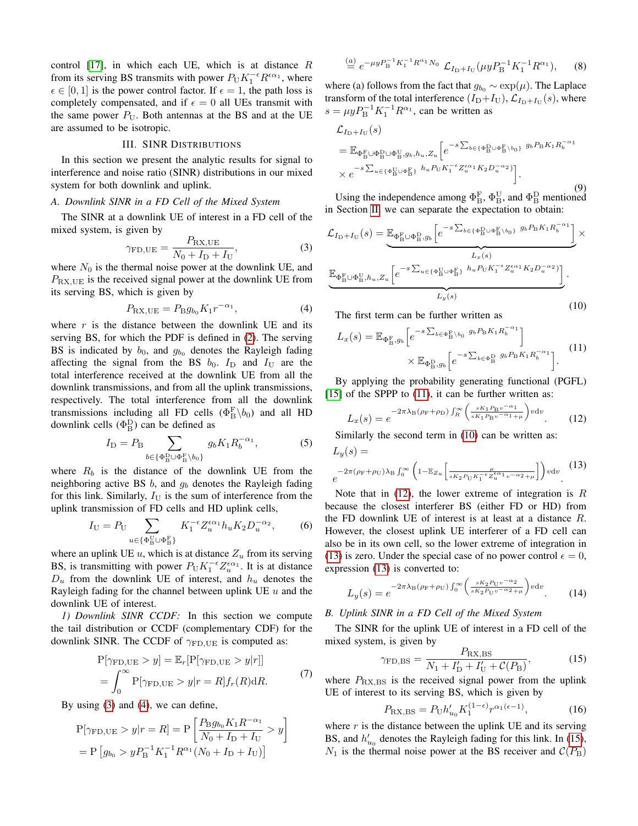control  $[17]$ , in which each UE, which is at distance R from its serving BS transmits with power  $P_{U} K_1^{-\epsilon} R^{\epsilon \alpha_1}$ , where  $\epsilon \in [0, 1]$  is the power control factor. If  $\epsilon = 1$ , the path loss is completely compensated, and if  $\epsilon = 0$  all UEs transmit with the same power  $P_U$ . Both antennas at the BS and at the UE are assumed to be isotropic.

# III. SINR DISTRIBUTIONS

<span id="page-2-11"></span>In this section we present the analytic results for signal to interference and noise ratio (SINR) distributions in our mixed system for both downlink and uplink.

### *A. Downlink SINR in a FD Cell of the Mixed System*

The SINR at a downlink UE of interest in a FD cell of the mixed system, is given by

<span id="page-2-0"></span>
$$
\gamma_{\rm FD,UE} = \frac{P_{\rm RX,UE}}{N_0 + I_{\rm D} + I_{\rm U}},\tag{3}
$$

where  $N_0$  is the thermal noise power at the downlink UE, and  $P_{\text{RX,UE}}$  is the received signal power at the downlink UE from its serving BS, which is given by

<span id="page-2-1"></span>
$$
P_{\text{RX,UE}} = P_{\text{B}}g_{b_0}K_1r^{-\alpha_1},\tag{4}
$$

where  $r$  is the distance between the downlink UE and its serving BS, for which the PDF is defined in [\(2\)](#page-1-0). The serving BS is indicated by  $b_0$ , and  $g_{b_0}$  denotes the Rayleigh fading affecting the signal from the BS  $b_0$ .  $I_D$  and  $I_U$  are the total interference received at the downlink UE from all the downlink transmissions, and from all the uplink transmissions, respectively. The total interference from all the downlink transmissions including all FD cells  $(\Phi_{\text{B}}^{\text{F}}\setminus b_0)$  and all HD downlink cells  $(\Phi_{\text{B}}^{\text{D}})$  can be defined as

$$
I_{\rm D} = P_{\rm B} \sum_{b \in \{\Phi_{\rm B}^{\rm D} \cup \Phi_{\rm B}^{\rm F} \setminus b_0\}} g_b K_1 R_b^{-\alpha_1},\tag{5}
$$

where  $R_b$  is the distance of the downlink UE from the neighboring active BS  $b$ , and  $q<sub>b</sub>$  denotes the Rayleigh fading for this link. Similarly,  $I_U$  is the sum of interference from the uplink transmission of FD cells and HD uplink cells,

$$
I_{\mathcal{U}} = P_{\mathcal{U}} \sum_{u \in \{\Phi_{\mathcal{B}}^{\mathcal{U}} \cup \Phi_{\mathcal{B}}^{\mathcal{F}}\}} K_1^{-\epsilon} Z_u^{\epsilon \alpha_1} h_u K_2 D_u^{-\alpha_2},\tag{6}
$$

where an uplink UE  $u$ , which is at distance  $Z_u$  from its serving BS, is transmitting with power  $P_{\text{U}} K_1^{-\epsilon} Z_u^{\epsilon \alpha_1}$ . It is at distance  $D_u$  from the downlink UE of interest, and  $h_u$  denotes the Rayleigh fading for the channel between uplink UE  $u$  and the downlink UE of interest.

<span id="page-2-7"></span>*1) Downlink SINR CCDF:* In this section we compute the tail distribution or CCDF (complementary CDF) for the downlink SINR. The CCDF of  $\gamma_{\text{FD,UE}}$  is computed as:

<span id="page-2-8"></span>
$$
P[\gamma_{FD,UE} > y] = \mathbb{E}_r[P[\gamma_{FD,UE} > y|r]]
$$
  
= 
$$
\int_0^\infty P[\gamma_{FD,UE} > y|r = R]f_r(R)dR.
$$
 (7)

By using [\(3\)](#page-2-0) and [\(4\)](#page-2-1), we can define,

$$
P[\gamma_{FD,UE} > y | r = R] = P\left[\frac{P_{B}g_{b_0}K_1R^{-\alpha_1}}{N_0 + I_D + I_U} > y\right]
$$
  
=  $P\left[g_{b_0} > yP_B^{-1}K_1^{-1}R^{\alpha_1}(N_0 + I_D + I_U)\right]$ 

<span id="page-2-9"></span>
$$
\stackrel{(a)}{=} e^{-\mu y P_{\rm B}^{-1} K_1^{-1} R^{\alpha_1} N_0} \mathcal{L}_{I_{\rm D} + I_{\rm U}}(\mu y P_{\rm B}^{-1} K_1^{-1} R^{\alpha_1}), \qquad (8)
$$

where (a) follows from the fact that  $g_{b_0} \sim \exp(\mu)$ . The Laplace transform of the total interference  $(I_D+I_U)$ ,  $\mathcal{L}_{I_D+I_U}(s)$ , where  $s = \mu y P_{\rm B}^{-1} K_1^{-1} R^{\alpha_1}$ , can be written as

$$
\mathcal{L}_{I_{\rm D}+I_{\rm U}}(s)
$$
\n
$$
= \mathbb{E}_{\Phi_{\rm B}^{\rm F} \cup \Phi_{\rm B}^{\rm D} \cup \Phi_{\rm B}^{\rm U}, g_b, h_u, Z_u} \left[ e^{-s \sum_{b \in \{\Phi_{\rm B}^{\rm D} \cup \Phi_{\rm B}^{\rm F}\setminus b_0\}} g_b P_{\rm B} K_1 R_b^{-\alpha_1}} \times e^{-s \sum_{u \in \{\Phi_{\rm B}^{\rm U} \cup \Phi_{\rm B}^{\rm F}\}} h_u P_{\rm U} K_1^{-\epsilon} Z_u^{\epsilon \alpha_1} K_2 D_u^{-\alpha_2}} \right].
$$
\n(9)

Using the independence among  $\Phi_{\rm B}^{\rm F}$ ,  $\Phi_{\rm B}^{\rm U}$ , and  $\Phi_{\rm B}^{\rm D}$  mentioned in Section [II,](#page-1-1) we can separate the expectation to obtain:

<span id="page-2-3"></span>
$$
\mathcal{L}_{I_{\rm D}+I_{\rm U}}(s) = \underbrace{\mathbb{E}_{\Phi_{\rm B}^{\rm F} \cup \Phi_{\rm B}^{\rm D},g_b} \left[ e^{-s \sum_{b \in \{\Phi_{\rm B}^{\rm D} \cup \Phi_{\rm B}^{\rm F}\backslash b_0\}} g_b P_{\rm B} K_1 R_b^{-\alpha_1}}_{L_x(s)} \right]}_{L_x(s)} \times \underbrace{\mathbb{E}_{\Phi_{\rm B}^{\rm F} \cup \Phi_{\rm B}^{\rm U},h_u, Z_u} \left[ e^{-s \sum_{u \in \{\Phi_{\rm B}^{\rm U} \cup \Phi_{\rm B}^{\rm F}\}} h_u P_{\rm U} K_1^{-\epsilon} Z_u^{\epsilon \alpha_1} K_2 D_u^{-\alpha_2})}_{L_y(s)} \right]}_{L_y(s)}.
$$
\n(10)

The first term can be further written as

<span id="page-2-2"></span>
$$
L_x(s) = \mathbb{E}_{\Phi_B^{\mathcal{F}}, g_b} \left[ e^{-s \sum_{b \in \Phi_B^{\mathcal{F}} \backslash b_0} g_b P_B K_1 R_b^{-\alpha_1}} \right] \times \mathbb{E}_{\Phi_B^{\mathcal{D}}, g_b} \left[ e^{-s \sum_{b \in \Phi_B^{\mathcal{D}}} g_b P_B K_1 R_b^{-\alpha_1}} \right].
$$
 (11)

By applying the probability generating functional (PGFL) [\[15\]](#page-6-11) of the SPPP to [\(11\)](#page-2-2), it can be further written as:

<span id="page-2-4"></span>
$$
L_x(s) = e^{-2\pi\lambda_B(\rho_F + \rho_D)\int_R^{\infty} \left(\frac{sK_1 P_B v^{-\alpha_1}}{sK_1 P_B v^{-\alpha_1} + \mu}\right) v \, dv}.
$$
 (12)

Similarly the second term in [\(10\)](#page-2-3) can be written as:

<span id="page-2-5"></span>
$$
L_y(s) =
$$
  

$$
e^{-2\pi(\rho_{\rm F} + \rho_{\rm U})\lambda_{\rm B} \int_0^\infty \left(1 - \mathbb{E}_{Z_u} \left[ \frac{\mu}{s_{\kappa_2 P_{\rm U} \kappa_1^{-\epsilon} z_u^{\epsilon \alpha_1} v^{-\alpha_2} + \mu}} \right] \right) v \, \mathrm{d}v}.
$$
 (13)

Note that in  $(12)$ , the lower extreme of integration is R because the closest interferer BS (either FD or HD) from the FD downlink UE of interest is at least at a distance  $R$ . However, the closest uplink UE interferer of a FD cell can also be in its own cell, so the lower extreme of integration in [\(13\)](#page-2-5) is zero. Under the special case of no power control  $\epsilon = 0$ , expression [\(13\)](#page-2-5) is converted to:

$$
L_y(s) = e^{-2\pi\lambda_B(\rho_F + \rho_U) \int_0^\infty \left(\frac{sK_2 P_U v^{-\alpha_2}}{sK_2 P_U v^{-\alpha_2} + \mu}\right) v \, dv}.\tag{14}
$$

## <span id="page-2-10"></span>*B. Uplink SINR in a FD Cell of the Mixed System*

The SINR for the uplink UE of interest in a FD cell of the mixed system, is given by

<span id="page-2-6"></span>
$$
\gamma_{\rm FD,BS} = \frac{P_{\rm RX,BS}}{N_1 + I'_{\rm D} + I'_{\rm U} + C(P_{\rm B})},\tag{15}
$$

where  $P_{\text{RX,BS}}$  is the received signal power from the uplink UE of interest to its serving BS, which is given by

$$
P_{\text{RX,BS}} = P_{\text{U}} h'_{u_0} K_1^{(1-\epsilon)} r^{\alpha_1(\epsilon-1)},\tag{16}
$$

where  $r$  is the distance between the uplink UE and its serving BS, and  $h'_{u_0}$  denotes the Rayleigh fading for this link. In [\(15\)](#page-2-6),  $N_1$  is the thermal noise power at the BS receiver and  $\mathcal{C}(P_{\text{B}})$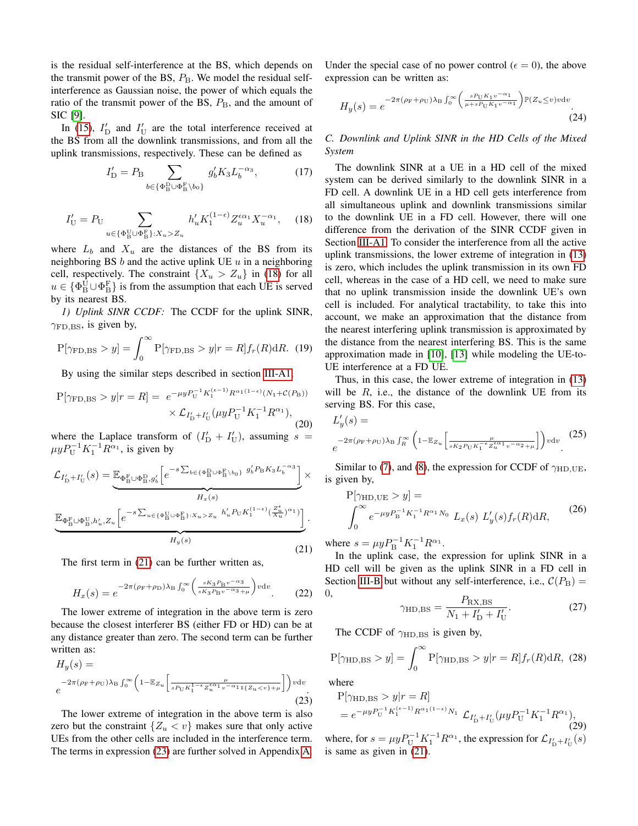is the residual self-interference at the BS, which depends on the transmit power of the BS,  $P_{\rm B}$ . We model the residual selfinterference as Gaussian noise, the power of which equals the ratio of the transmit power of the BS,  $P_{\text{B}}$ , and the amount of SIC [\[9\]](#page-6-5).

In [\(15\)](#page-2-6),  $I_D'$  and  $I_U'$  are the total interference received at the BS from all the downlink transmissions, and from all the uplink transmissions, respectively. These can be defined as

$$
I'_{\mathcal{D}} = P_{\mathcal{B}} \sum_{b \in \{\Phi_{\mathcal{B}}^{\mathcal{D}} \cup \Phi_{\mathcal{B}}^{\mathcal{F}} \setminus b_0\}} g'_b K_3 L_b^{-\alpha_3},\tag{17}
$$

<span id="page-3-0"></span>
$$
I'_{\mathcal{U}} = P_{\mathcal{U}} \sum_{u \in \{\Phi_{\mathcal{B}}^{\mathcal{U}} \cup \Phi_{\mathcal{B}}^{\mathcal{F}}\}: X_u > Z_u} h'_u K_1^{(1-\epsilon)} Z_u^{\epsilon \alpha_1} X_u^{-\alpha_1}, \quad (18)
$$

where  $L_b$  and  $X_u$  are the distances of the BS from its neighboring BS  $b$  and the active uplink UE  $u$  in a neighboring cell, respectively. The constraint  $\{X_u > Z_u\}$  in [\(18\)](#page-3-0) for all  $u \in {\Phi_{\text{B}}^{\text{U}} \cup \Phi_{\text{B}}^{\text{F}}}$  is from the assumption that each UE is served by its nearest BS.

*1) Uplink SINR CCDF:* The CCDF for the uplink SINR,  $\gamma_{\rm FD, BS}$ , is given by,

<span id="page-3-3"></span>
$$
P[\gamma_{FD,BS} > y] = \int_0^\infty P[\gamma_{FD,BS} > y | r = R] f_r(R) dR.
$$
 (19)

By using the similar steps described in section [III-A1,](#page-2-7)

<span id="page-3-4"></span>
$$
P[\gamma_{\rm FD,BS} > y | r = R] = e^{-\mu y P_{\rm U}^{-1} K_1^{(\epsilon - 1)} R^{\alpha_1 (1 - \epsilon)} (N_1 + C(P_{\rm B}))}
$$

$$
\times \mathcal{L}_{I'_{\rm D} + I'_{\rm U}} (\mu y P_{\rm U}^{-1} K_1^{-1} R^{\alpha_1}), \tag{20}
$$

where the Laplace transform of  $(I'_D + I'_U)$ , assuming  $s =$  $\mu y P_{\text{U}}^{-1} K_1^{-1} R^{\alpha_1}$ , is given by

<span id="page-3-1"></span>
$$
\mathcal{L}_{I'_{\rm D}+I'_{\rm U}}(s) = \underbrace{\mathbb{E}_{\Phi_{\rm B}^{\rm F} \cup \Phi_{\rm B}^{\rm D}, g'_{b}} \left[ e^{-s \sum_{b \in \{\Phi_{\rm B}^{\rm D} \cup \Phi_{\rm B}^{\rm F}\backslash b_{0}\}} g'_{b} P_{\rm B} K_{3} L_{b}^{-\alpha_{3}}} \right]}_{H_{x}(s)} \times \underbrace{\mathbb{E}_{\Phi_{\rm B}^{\rm F} \cup \Phi_{\rm B}^{\rm U}, h'_{u}, Z_{u}} \left[ e^{-s \sum_{u \in \{\Phi_{\rm B}^{\rm U} \cup \Phi_{\rm B}^{\rm F}\}; \chi_{u} > Z_{u}} h'_{u} P_{\rm U} K_{1}^{(1-\epsilon)} (\frac{Z_{u}^{\epsilon}}{X_{u}})^{\alpha_{1}}} \right]}_{H_{y}(s)}.
$$
\n
$$
(21)
$$

The first term in [\(21\)](#page-3-1) can be further written as,

$$
H_x(s) = e^{-2\pi(\rho_\text{F} + \rho_\text{D})\lambda_\text{B} \int_0^\infty \left(\frac{sK_3 P_\text{B} v^{-\alpha_3}}{sK_3 P_\text{B} v^{-\alpha_3} + \mu}\right) v \, \mathrm{d}v}.
$$
 (22)

The lower extreme of integration in the above term is zero because the closest interferer BS (either FD or HD) can be at any distance greater than zero. The second term can be further written as:

<span id="page-3-2"></span>
$$
H_y(s) =
$$
  

$$
e^{-2\pi(\rho_{\rm F} + \rho_{\rm U})\lambda_{\rm B} \int_0^\infty \left(1 - \mathbb{E}_{Z_u} \left[ \frac{\mu}{s_{\rm FU} \kappa_1^{1-\epsilon} z_u^{\epsilon \alpha_1} v^{-\alpha_1} \mathbb{I}\{z_u < v\} + \mu} \right] \right) v \, \mathrm{d}v}.
$$
\n(23)

The lower extreme of integration in the above term is also zero but the constraint  $\{Z_u \lt v\}$  makes sure that only active UEs from the other cells are included in the interference term. The terms in expression [\(23\)](#page-3-2) are further solved in Appendix [A.](#page-6-14) Under the special case of no power control ( $\epsilon = 0$ ), the above expression can be written as:

$$
H_y(s) = e^{-2\pi(\rho_\text{F} + \rho_\text{U})\lambda_\text{B} \int_0^\infty \left(\frac{s P_\text{U} K_1 v^{-\alpha_1}}{\mu + s P_\text{U} K_1 v^{-\alpha_1}}\right) \mathbb{P}(Z_u \le v) v \, dv}.\tag{24}
$$

*C. Downlink and Uplink SINR in the HD Cells of the Mixed System*

The downlink SINR at a UE in a HD cell of the mixed system can be derived similarly to the downlink SINR in a FD cell. A downlink UE in a HD cell gets interference from all simultaneous uplink and downlink transmissions similar to the downlink UE in a FD cell. However, there will one difference from the derivation of the SINR CCDF given in Section [III-A1.](#page-2-7) To consider the interference from all the active uplink transmissions, the lower extreme of integration in [\(13\)](#page-2-5) is zero, which includes the uplink transmission in its own FD cell, whereas in the case of a HD cell, we need to make sure that no uplink transmission inside the downlink UE's own cell is included. For analytical tractability, to take this into account, we make an approximation that the distance from the nearest interfering uplink transmission is approximated by the distance from the nearest interfering BS. This is the same approximation made in [\[10\]](#page-6-6), [\[13\]](#page-6-7) while modeling the UE-to-UE interference at a FD UE.

Thus, in this case, the lower extreme of integration in [\(13\)](#page-2-5) will be  $R$ , i.e., the distance of the downlink UE from its serving BS. For this case,

$$
L'_{y}(s) =
$$
  

$$
e^{-2\pi(\rho_{\rm F} + \rho_{\rm U})\lambda_{\rm B}\int_{R}^{\infty} \left(1 - \mathbb{E}_{Z_{u}}\left[\frac{\mu}{s_{\rm K_{2}}\rho_{\rm U}K_{1}^{-\epsilon}\mathcal{L}_{u}^{\epsilon\alpha_{1}}v^{-\alpha_{2}} + \mu}\right]\right)v\mathrm{d}v}.
$$
 (25)

Similar to [\(7\)](#page-2-8), and [\(8\)](#page-2-9), the expression for CCDF of  $\gamma_{HD,UE}$ , is given by,

$$
P[\gamma_{HD,UE} > y] =
$$
  

$$
\int_0^\infty e^{-\mu y P_B^{-1} K_1^{-1} R^{\alpha_1} N_0} L_x(s) L'_y(s) f_r(R) dR,
$$
 (26)

where  $s = \mu y P_{\rm B}^{-1} K_1^{-1} R^{\alpha_1}$ .

In the uplink case, the expression for uplink SINR in a HD cell will be given as the uplink SINR in a FD cell in Section [III-B](#page-2-10) but without any self-interference, i.e.,  $C(P_B)$  = 0,

$$
\gamma_{\rm HD,BS} = \frac{P_{\rm RX,BS}}{N_1 + I'_{\rm D} + I'_{\rm U}}.\tag{27}
$$

The CCDF of  $\gamma_{\text{HD,BS}}$  is given by,

$$
P[\gamma_{\text{HD,BS}} > y] = \int_0^\infty P[\gamma_{\text{HD,BS}} > y | r = R] f_r(R) dR, (28)
$$

where

$$
P[\gamma_{HD,BS} > y | r = R]
$$
  
=  $e^{-\mu y P_U^{-1} K_1^{(\epsilon - 1)} R^{\alpha_1 (1 - \epsilon)} N_1} \mathcal{L}_{I_D' + I_U'}(\mu y P_U^{-1} K_1^{-1} R^{\alpha_1}),$  (29)

where, for  $s = \mu y P_{U}^{-1} K_1^{-1} R^{\alpha_1}$ , the expression for  $\mathcal{L}_{I'_{D} + I'_{U}}(s)$ is same as given in [\(21\)](#page-3-1).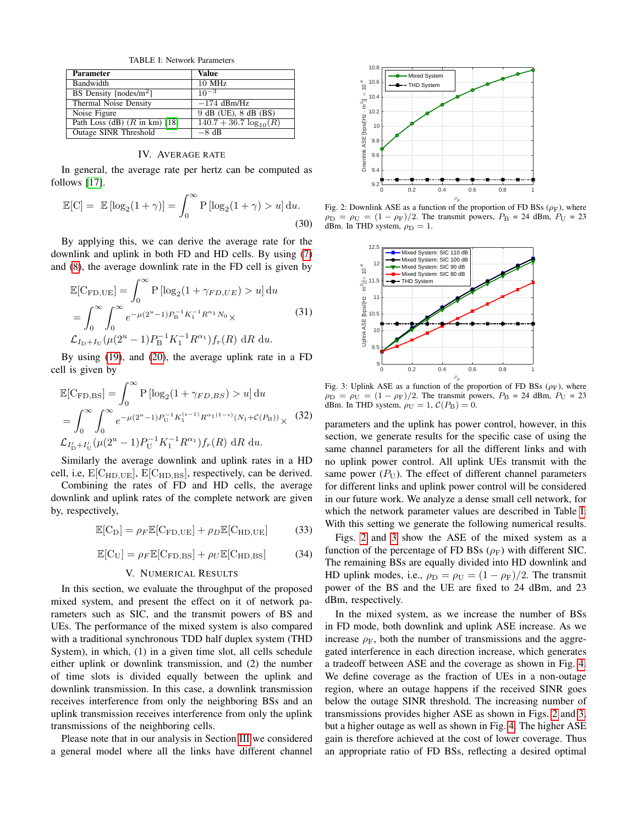TABLE I: Network Parameters

<span id="page-4-0"></span>

| <b>Parameter</b>                         | Value                       |
|------------------------------------------|-----------------------------|
| Bandwidth                                | 10 MHz                      |
| BS Density $[nodes/m^2]$                 | $10^{-3}$                   |
| Thermal Noise Density                    | $-174$ dBm/Hz               |
| Noise Figure                             | 9 dB (UE), 8 dB (BS)        |
| Path Loss (dB) $(R \text{ in } km)$ [18] | $140.7 + 36.7 \log_{10}(R)$ |
| Outage SINR Threshold                    | $-8$ dB                     |

IV. AVERAGE RATE

In general, the average rate per hertz can be computed as follows [\[17\]](#page-6-13).

$$
\mathbb{E}[C] = \mathbb{E} [\log_2(1+\gamma)] = \int_0^\infty P [\log_2(1+\gamma) > u] du.
$$
\n(30)

By applying this, we can derive the average rate for the downlink and uplink in both FD and HD cells. By using [\(7\)](#page-2-8) and [\(8\)](#page-2-9), the average downlink rate in the FD cell is given by

$$
\mathbb{E}[C_{FD,UE}] = \int_0^\infty P\left[\log_2(1 + \gamma_{FD,UE}) > u\right] du
$$
  
= 
$$
\int_0^\infty \int_0^\infty e^{-\mu(2^u - 1)P_B^{-1}K_1^{-1}R^{\alpha_1}N_0} \times
$$
 (31)  

$$
\mathcal{L}_{I_D + I_U}(\mu(2^u - 1)P_B^{-1}K_1^{-1}R^{\alpha_1})f_r(R) dR du.
$$

By using [\(19\)](#page-3-3), and [\(20\)](#page-3-4), the average uplink rate in a FD cell is given by

$$
\mathbb{E}[C_{\rm FD,BS}] = \int_0^\infty P\left[\log_2(1 + \gamma_{FD,BS}) > u\right] du
$$
  
= 
$$
\int_0^\infty \int_0^\infty e^{-\mu(2^u - 1)P_U^{-1}K_1^{(\epsilon - 1)}R^{\alpha_1(1 - \epsilon)}(N_1 + C(P_B))} \times (32)
$$
  

$$
\mathcal{L}_{I_D' + I_U'}(\mu(2^u - 1)P_U^{-1}K_1^{-1}R^{\alpha_1})f_r(R) dR du.
$$

Similarly the average downlink and uplink rates in a HD cell, i.e,  $E[C_{HD,UE}]$ ,  $E[C_{HD,BS}]$ , respectively, can be derived.

Combining the rates of FD and HD cells, the average downlink and uplink rates of the complete network are given by, respectively,

$$
\mathbb{E}[C_{\text{D}}] = \rho_F \mathbb{E}[C_{\text{FD,UE}}] + \rho_D \mathbb{E}[C_{\text{HD,UE}}]
$$
(33)

$$
\mathbb{E}[\mathrm{C}_{\mathrm{U}}] = \rho_F \mathbb{E}[\mathrm{C}_{\mathrm{FD,BS}}] + \rho_U \mathbb{E}[\mathrm{C}_{\mathrm{HD,BS}}]
$$
(34)

## V. NUMERICAL RESULTS

In this section, we evaluate the throughput of the proposed mixed system, and present the effect on it of network parameters such as SIC, and the transmit powers of BS and UEs. The performance of the mixed system is also compared with a traditional synchronous TDD half duplex system (THD System), in which, (1) in a given time slot, all cells schedule either uplink or downlink transmission, and (2) the number of time slots is divided equally between the uplink and downlink transmission. In this case, a downlink transmission receives interference from only the neighboring BSs and an uplink transmission receives interference from only the uplink transmissions of the neighboring cells.

Please note that in our analysis in Section [III](#page-2-11) we considered a general model where all the links have different channel

<span id="page-4-1"></span>

Fig. 2: Downlink ASE as a function of the proportion of FD BSs ( $\rho$ <sub>F</sub>), where  $\rho_D = \rho_U = (1 - \rho_F)/2$ . The transmit powers,  $P_B = 24$  dBm,  $P_U = 23$ dBm. In THD system,  $\rho_D = 1$ .

<span id="page-4-2"></span>

Fig. 3: Uplink ASE as a function of the proportion of FD BSs ( $\rho$ <sub>F</sub>), where  $\rho_D = \rho_U = (1 - \rho_F)/2$ . The transmit powers,  $P_B = 24$  dBm,  $P_U = 23$ dBm. In THD system,  $\rho_U = 1$ ,  $C(P_B) = 0$ .

parameters and the uplink has power control, however, in this section, we generate results for the specific case of using the same channel parameters for all the different links and with no uplink power control. All uplink UEs transmit with the same power  $(P_U)$ . The effect of different channel parameters for different links and uplink power control will be considered in our future work. We analyze a dense small cell network, for which the network parameter values are described in Table [I.](#page-4-0) With this setting we generate the following numerical results.

Figs. [2](#page-4-1) and [3](#page-4-2) show the ASE of the mixed system as a function of the percentage of FD BSs  $(\rho_F)$  with different SIC. The remaining BSs are equally divided into HD downlink and HD uplink modes, i.e.,  $\rho_D = \rho_U = (1 - \rho_F)/2$ . The transmit power of the BS and the UE are fixed to 24 dBm, and 23 dBm, respectively.

In the mixed system, as we increase the number of BSs in FD mode, both downlink and uplink ASE increase. As we increase  $\rho_F$ , both the number of transmissions and the aggregated interference in each direction increase, which generates a tradeoff between ASE and the coverage as shown in Fig. [4.](#page-5-0) We define coverage as the fraction of UEs in a non-outage region, where an outage happens if the received SINR goes below the outage SINR threshold. The increasing number of transmissions provides higher ASE as shown in Figs. [2](#page-4-1) and [3,](#page-4-2) but a higher outage as well as shown in Fig. [4.](#page-5-0) The higher ASE gain is therefore achieved at the cost of lower coverage. Thus an appropriate ratio of FD BSs, reflecting a desired optimal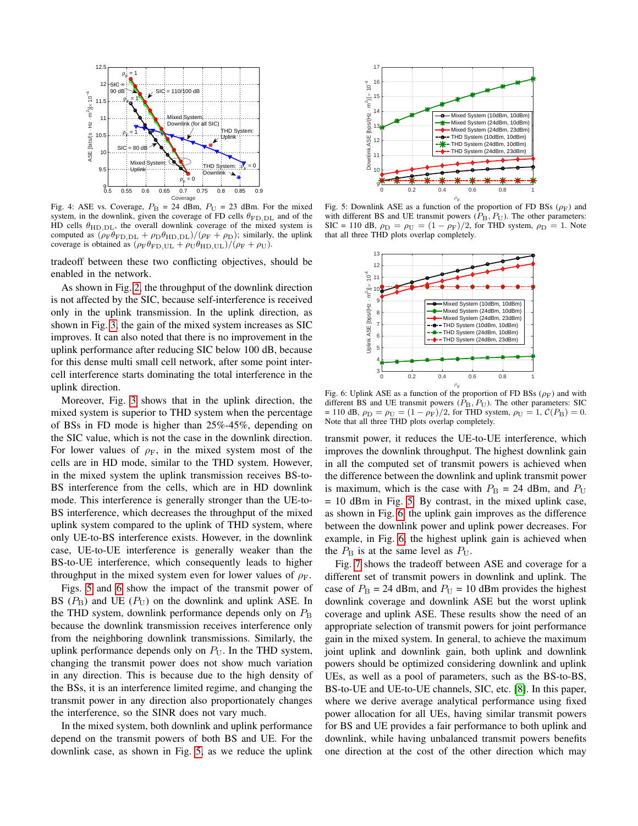<span id="page-5-0"></span>

Fig. 4: ASE vs. Coverage,  $P_B = 24$  dBm,  $P_U = 23$  dBm. For the mixed system, in the downlink, given the coverage of FD cells  $\theta_{\text{FD,DL}}$  and of the HD cells  $\theta_{\text{HD,DL}}$ , the overall downlink coverage of the mixed system is computed as  $(\rho_F \theta_{\text{FD,DL}} + \rho_D \theta_{\text{HD,DL}})/(\rho_F + \rho_D)$ ; similarly, the uplink coverage is obtained as  $(\rho_F \theta_{FD, UL} + \rho_U \theta_{HD, UL})/(\rho_F + \rho_U)$ .

tradeoff between these two conflicting objectives, should be enabled in the network.

As shown in Fig. [2,](#page-4-1) the throughput of the downlink direction is not affected by the SIC, because self-interference is received only in the uplink transmission. In the uplink direction, as shown in Fig. [3,](#page-4-2) the gain of the mixed system increases as SIC improves. It can also noted that there is no improvement in the uplink performance after reducing SIC below 100 dB, because for this dense multi small cell network, after some point intercell interference starts dominating the total interference in the uplink direction.

Moreover, Fig. [3](#page-4-2) shows that in the uplink direction, the mixed system is superior to THD system when the percentage of BSs in FD mode is higher than 25%-45%, depending on the SIC value, which is not the case in the downlink direction. For lower values of  $\rho_F$ , in the mixed system most of the cells are in HD mode, similar to the THD system. However, in the mixed system the uplink transmission receives BS-to-BS interference from the cells, which are in HD downlink mode. This interference is generally stronger than the UE-to-BS interference, which decreases the throughput of the mixed uplink system compared to the uplink of THD system, where only UE-to-BS interference exists. However, in the downlink case, UE-to-UE interference is generally weaker than the BS-to-UE interference, which consequently leads to higher throughput in the mixed system even for lower values of  $\rho_F$ .

Figs. [5](#page-5-1) and [6](#page-5-2) show the impact of the transmit power of BS  $(P_B)$  and UE  $(P_U)$  on the downlink and uplink ASE. In the THD system, downlink performance depends only on  $P_{\rm B}$ because the downlink transmission receives interference only from the neighboring downlink transmissions. Similarly, the uplink performance depends only on  $P_U$ . In the THD system, changing the transmit power does not show much variation in any direction. This is because due to the high density of the BSs, it is an interference limited regime, and changing the transmit power in any direction also proportionately changes the interference, so the SINR does not vary much.

In the mixed system, both downlink and uplink performance depend on the transmit powers of both BS and UE. For the downlink case, as shown in Fig. [5,](#page-5-1) as we reduce the uplink

<span id="page-5-1"></span>

<span id="page-5-2"></span>Fig. 5: Downlink ASE as a function of the proportion of FD BSs ( $\rho$ F) and with different BS and UE transmit powers  $(P_B, P_U)$ . The other parameters: SIC = 110 dB,  $\rho_D = \rho_U = (1 - \rho_F)/2$ , for THD system,  $\rho_D = 1$ . Note that all three THD plots overlap completely.



Fig. 6: Uplink ASE as a function of the proportion of FD BSs ( $\rho_F$ ) and with different BS and UE transmit powers  $(P_B, P_U)$ . The other parameters: SIC = 110 dB,  $\rho_D = \rho_U = (1 - \rho_F)/2$ , for THD system,  $\rho_U = 1$ ,  $C(P_B) = 0$ . Note that all three THD plots overlap completely.

transmit power, it reduces the UE-to-UE interference, which improves the downlink throughput. The highest downlink gain in all the computed set of transmit powers is achieved when the difference between the downlink and uplink transmit power is maximum, which is the case with  $P_{\rm B} = 24$  dBm, and  $P_{\rm U}$ = 10 dBm in Fig. [5.](#page-5-1) By contrast, in the mixed uplink case, as shown in Fig. [6,](#page-5-2) the uplink gain improves as the difference between the downlink power and uplink power decreases. For example, in Fig. [6,](#page-5-2) the highest uplink gain is achieved when the  $P_{\rm B}$  is at the same level as  $P_{\rm U}$ .

Fig. [7](#page-6-16) shows the tradeoff between ASE and coverage for a different set of transmit powers in downlink and uplink. The case of  $P_{\rm B}$  = 24 dBm, and  $P_{\rm U}$  = 10 dBm provides the highest downlink coverage and downlink ASE but the worst uplink coverage and uplink ASE. These results show the need of an appropriate selection of transmit powers for joint performance gain in the mixed system. In general, to achieve the maximum joint uplink and downlink gain, both uplink and downlink powers should be optimized considering downlink and uplink UEs, as well as a pool of parameters, such as the BS-to-BS, BS-to-UE and UE-to-UE channels, SIC, etc. [\[8\]](#page-6-4). In this paper, where we derive average analytical performance using fixed power allocation for all UEs, having similar transmit powers for BS and UE provides a fair performance to both uplink and downlink, while having unbalanced transmit powers benefits one direction at the cost of the other direction which may